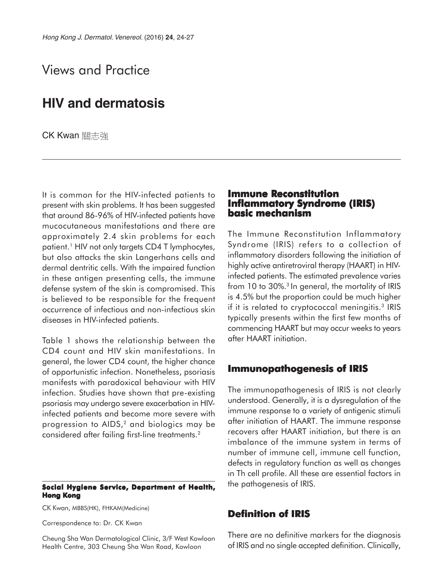# Views and Practice

## **HIV and dermatosis**

CK Kwan 關志強

It is common for the HIV-infected patients to present with skin problems. It has been suggested that around 86-96% of HIV-infected patients have mucocutaneous manifestations and there are approximately 2.4 skin problems for each patient.<sup>1</sup> HIV not only targets CD4 T lymphocytes, but also attacks the skin Langerhans cells and dermal dentritic cells. With the impaired function in these antigen presenting cells, the immune defense system of the skin is compromised. This is believed to be responsible for the frequent occurrence of infectious and non-infectious skin diseases in HIV-infected patients.

Table 1 shows the relationship between the CD4 count and HIV skin manifestations. In general, the lower CD4 count, the higher chance of opportunistic infection. Nonetheless, psoriasis manifests with paradoxical behaviour with HIV infection. Studies have shown that pre-existing psoriasis may undergo severe exacerbation in HIVinfected patients and become more severe with progression to AIDS,<sup>2</sup> and biologics may be considered after failing first-line treatments.2

#### **Social Hygiene Service, Department of Health, Hong Kong**

CK Kwan, MBBS(HK), FHKAM(Medicine)

Correspondence to: Dr. CK Kwan

Cheung Sha Wan Dermatological Clinic, 3/F West Kowloon Health Centre, 303 Cheung Sha Wan Road, Kowloon

#### **Immune Reconstitution Inflammatory Syndrome (IRIS) Inflammatory Syndrome (IRIS) basic mechanism**

The Immune Reconstitution Inflammatory Syndrome (IRIS) refers to a collection of inflammatory disorders following the initiation of highly active antiretroviral therapy (HAART) in HIVinfected patients. The estimated prevalence varies from 10 to 30%.<sup>3</sup> In general, the mortality of IRIS is 4.5% but the proportion could be much higher if it is related to cryptococcal meningitis.<sup>3</sup> IRIS typically presents within the first few months of commencing HAART but may occur weeks to years after HAART initiation.

#### **Immunopathogenesis of IRIS**

The immunopathogenesis of IRIS is not clearly understood. Generally, it is a dysregulation of the immune response to a variety of antigenic stimuli after initiation of HAART. The immune response recovers after HAART initiation, but there is an imbalance of the immune system in terms of number of immune cell, immune cell function, defects in regulatory function as well as changes in Th cell profile. All these are essential factors in the pathogenesis of IRIS.

## **Definition of IRIS**

There are no definitive markers for the diagnosis of IRIS and no single accepted definition. Clinically,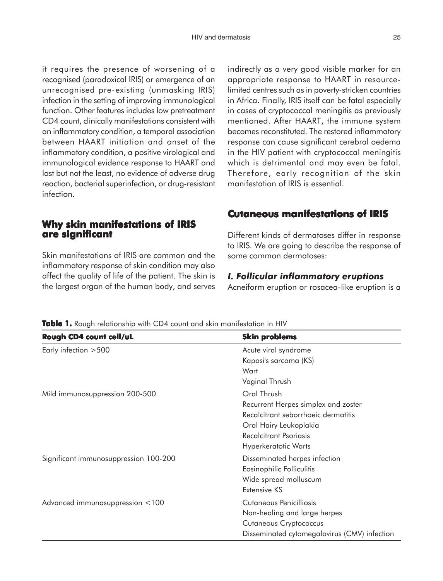it requires the presence of worsening of a recognised (paradoxical IRIS) or emergence of an unrecognised pre-existing (unmasking IRIS) infection in the setting of improving immunological function. Other features includes low pretreatment CD4 count, clinically manifestations consistent with an inflammatory condition, a temporal association between HAART initiation and onset of the inflammatory condition, a positive virological and immunological evidence response to HAART and last but not the least, no evidence of adverse drug reaction, bacterial superinfection, or drug-resistant infection.

## **Why skin manifestations of IRIS are significant are**

Skin manifestations of IRIS are common and the inflammatory response of skin condition may also affect the quality of life of the patient. The skin is the largest organ of the human body, and serves indirectly as a very good visible marker for an appropriate response to HAART in resourcelimited centres such as in poverty-stricken countries in Africa. Finally, IRIS itself can be fatal especially in cases of cryptococcal meningitis as previously mentioned. After HAART, the immune system becomes reconstituted. The restored inflammatory response can cause significant cerebral oedema in the HIV patient with cryptococcal meningitis which is detrimental and may even be fatal. Therefore, early recognition of the skin manifestation of IRIS is essential.

## **Cutaneous manifestations of IRIS**

Different kinds of dermatoses differ in response to IRIS. We are going to describe the response of some common dermatoses:

#### *I. Follicular inflammatory eruptions*

Acneiform eruption or rosacea-like eruption is a

| Rough CD4 count cell/uL               | <b>Skin problems</b>                         |
|---------------------------------------|----------------------------------------------|
| Early infection >500                  | Acute viral syndrome                         |
|                                       | Kaposi's sarcoma (KS)                        |
|                                       | Wart                                         |
|                                       | Vaginal Thrush                               |
| Mild immunosuppression 200-500        | Oral Thrush                                  |
|                                       | Recurrent Herpes simplex and zoster          |
|                                       | Recalcitrant seborrhoeic dermatitis          |
|                                       | Oral Hairy Leukoplakia                       |
|                                       | <b>Recalcitrant Psoriasis</b>                |
|                                       | <b>Hyperkeratotic Warts</b>                  |
| Significant immunosuppression 100-200 | Disseminated herpes infection                |
|                                       | Eosinophilic Folliculitis                    |
|                                       | Wide spread molluscum                        |
|                                       | Extensive KS                                 |
| Advanced immunosuppression <100       | Cutaneous Penicilliosis                      |
|                                       | Non-healing and large herpes                 |
|                                       | <b>Cutaneous Cryptococcus</b>                |
|                                       | Disseminated cytomegalovirus (CMV) infection |

**Table 1.** Rough relationship with CD4 count and skin manifestation in HIV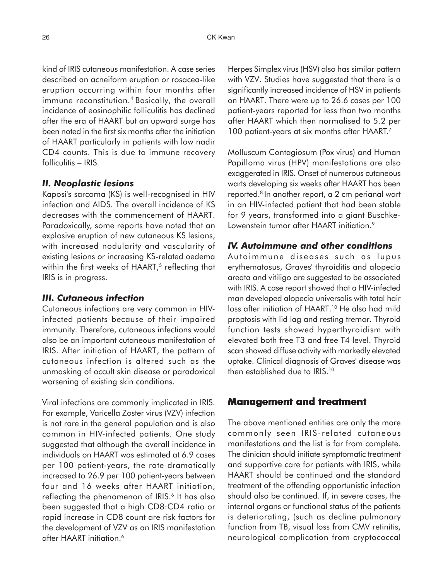kind of IRIS cutaneous manifestation. A case series described an acneiform eruption or rosacea-like eruption occurring within four months after immune reconstitution.<sup>4</sup> Basically, the overall incidence of eosinophilic folliculitis has declined after the era of HAART but an upward surge has been noted in the first six months after the initiation of HAART particularly in patients with low nadir CD4 counts. This is due to immune recovery folliculitis – IRIS.

#### *II. Neoplastic lesions*

Kaposi's sarcoma (KS) is well-recognised in HIV infection and AIDS. The overall incidence of KS decreases with the commencement of HAART. Paradoxically, some reports have noted that an explosive eruption of new cutaneous KS lesions, with increased nodularity and vascularity of existing lesions or increasing KS-related oedema within the first weeks of HAART,<sup>5</sup> reflecting that IRIS is in progress.

## *III. Cutaneous infection*

Cutaneous infections are very common in HIVinfected patients because of their impaired immunity. Therefore, cutaneous infections would also be an important cutaneous manifestation of IRIS. After initiation of HAART, the pattern of cutaneous infection is altered such as the unmasking of occult skin disease or paradoxical worsening of existing skin conditions.

Viral infections are commonly implicated in IRIS. For example, Varicella Zoster virus (VZV) infection is not rare in the general population and is also common in HIV-infected patients. One study suggested that although the overall incidence in individuals on HAART was estimated at 6.9 cases per 100 patient-years, the rate dramatically increased to 26.9 per 100 patient-years between four and 16 weeks after HAART initiation, reflecting the phenomenon of IRIS.<sup>6</sup> It has also been suggested that a high CD8:CD4 ratio or rapid increase in CD8 count are risk factors for the development of VZV as an IRIS manifestation after HAART initiation.6

Herpes Simplex virus (HSV) also has similar pattern with VZV. Studies have suggested that there is a significantly increased incidence of HSV in patients on HAART. There were up to 26.6 cases per 100 patient-years reported for less than two months after HAART which then normalised to 5.2 per 100 patient-years at six months after HAART.<sup>7</sup>

Molluscum Contagiosum (Pox virus) and Human Papilloma virus (HPV) manifestations are also exaggerated in IRIS. Onset of numerous cutaneous warts developing six weeks after HAART has been reported.8 In another report, a 2 cm perianal wart in an HIV-infected patient that had been stable for 9 years, transformed into a giant Buschke-Lowenstein tumor after HAART initiation.<sup>9</sup>

### *IV. Autoimmune and other conditions*

Autoimmune diseases such as lupus erythematosus, Graves' thyroiditis and alopecia areata and vitiligo are suggested to be associated with IRIS. A case report showed that a HIV-infected man developed alopecia universalis with total hair loss after initiation of HAART.<sup>10</sup> He also had mild proptosis with lid lag and resting tremor. Thyroid function tests showed hyperthyroidism with elevated both free T3 and free T4 level. Thyroid scan showed diffuse activity with markedly elevated uptake. Clinical diagnosis of Graves' disease was then established due to IRIS.<sup>10</sup>

## **Management and treatment and treatment**

The above mentioned entities are only the more commonly seen IRIS-related cutaneous manifestations and the list is far from complete. The clinician should initiate symptomatic treatment and supportive care for patients with IRIS, while HAART should be continued and the standard treatment of the offending opportunistic infection should also be continued. If, in severe cases, the internal organs or functional status of the patients is deteriorating, (such as decline pulmonary function from TB, visual loss from CMV retinitis, neurological complication from cryptococcal